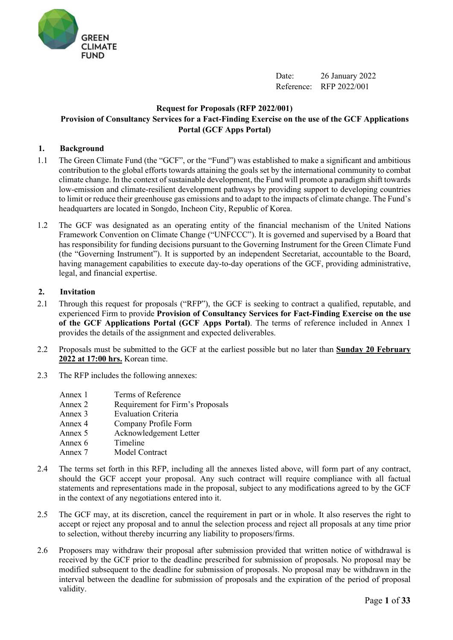

Date: 26 January 2022 Reference: RFP 2022/001

## **Request for Proposals (RFP 2022/001) Provision of Consultancy Services for a Fact-Finding Exercise on the use of the GCF Applications Portal (GCF Apps Portal)**

### **1. Background**

- 1.1 The Green Climate Fund (the "GCF", or the "Fund") was established to make a significant and ambitious contribution to the global efforts towards attaining the goals set by the international community to combat climate change. In the context of sustainable development, the Fund will promote a paradigm shift towards low-emission and climate-resilient development pathways by providing support to developing countries to limit or reduce their greenhouse gas emissions and to adapt to the impacts of climate change. The Fund's headquarters are located in Songdo, Incheon City, Republic of Korea.
- 1.2 The GCF was designated as an operating entity of the financial mechanism of the United Nations Framework Convention on Climate Change ("UNFCCC"). It is governed and supervised by a Board that has responsibility for funding decisions pursuant to the Governing Instrument for the Green Climate Fund (the "Governing Instrument"). It is supported by an independent Secretariat, accountable to the Board, having management capabilities to execute day-to-day operations of the GCF, providing administrative, legal, and financial expertise.

#### **2. Invitation**

- 2.1 Through this request for proposals ("RFP"), the GCF is seeking to contract a qualified, reputable, and experienced Firm to provide **Provision of Consultancy Services for Fact-Finding Exercise on the use of the GCF Applications Portal (GCF Apps Portal)**. The terms of reference included in Annex 1 provides the details of the assignment and expected deliverables.
- 2.2 Proposals must be submitted to the GCF at the earliest possible but no later than **Sunday 20 February 2022 at 17:00 hrs.** Korean time.
- 2.3 The RFP includes the following annexes:
	- Annex 1 Terms of Reference
	- Annex 2 Requirement for Firm's Proposals
	- Annex 3 Evaluation Criteria
	- Annex 4 Company Profile Form
	- Annex 5 Acknowledgement Letter
	- Annex 6 Timeline
	- Annex 7 Model Contract
- 2.4 The terms set forth in this RFP, including all the annexes listed above, will form part of any contract, should the GCF accept your proposal. Any such contract will require compliance with all factual statements and representations made in the proposal, subject to any modifications agreed to by the GCF in the context of any negotiations entered into it.
- 2.5 The GCF may, at its discretion, cancel the requirement in part or in whole. It also reserves the right to accept or reject any proposal and to annul the selection process and reject all proposals at any time prior to selection, without thereby incurring any liability to proposers/firms.
- 2.6 Proposers may withdraw their proposal after submission provided that written notice of withdrawal is received by the GCF prior to the deadline prescribed for submission of proposals. No proposal may be modified subsequent to the deadline for submission of proposals. No proposal may be withdrawn in the interval between the deadline for submission of proposals and the expiration of the period of proposal validity.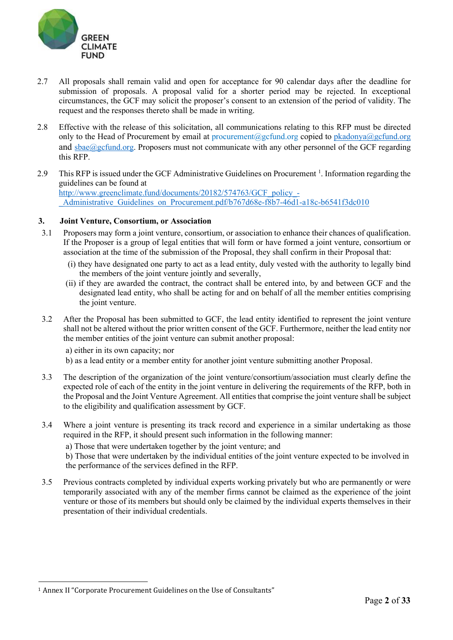

- 2.7 All proposals shall remain valid and open for acceptance for 90 calendar days after the deadline for submission of proposals. A proposal valid for a shorter period may be rejected. In exceptional circumstances, the GCF may solicit the proposer's consent to an extension of the period of validity. The request and the responses thereto shall be made in writing.
- 2.8 Effective with the release of this solicitation, all communications relating to this RFP must be directed only to the Head of Procurement by email at [procurement@gcfund.org](mailto:procurement@gcfund.org) copied to [pkadonya@gcfund.org](mailto:pkadonya@gcfund.org) and sbae@gcfund.org. Proposers must not communicate with any other personnel of the GCF regarding this RFP.
- 2.9 This RFP is issued under the GCF Administrative Guidelines on Procurement<sup>1</sup>. Information regarding the guidelines can be found at [http://www.greenclimate.fund/documents/20182/574763/GCF\\_policy\\_-](http://www.greenclimate.fund/documents/20182/574763/GCF_policy_-_Administrative_Guidelines_on_Procurement.pdf/b767d68e-f8b7-46d1-a18c-b6541f3dc010) Administrative Guidelines on Procurement.pdf/b767d68e-f8b7-46d1-a18c-b6541f3dc010

### **3. Joint Venture, Consortium, or Association**

- 3.1 Proposers may form a joint venture, consortium, or association to enhance their chances of qualification. If the Proposer is a group of legal entities that will form or have formed a joint venture, consortium or association at the time of the submission of the Proposal, they shall confirm in their Proposal that:
	- (i) they have designated one party to act as a lead entity, duly vested with the authority to legally bind the members of the joint venture jointly and severally,
	- (ii) if they are awarded the contract, the contract shall be entered into, by and between GCF and the designated lead entity, who shall be acting for and on behalf of all the member entities comprising the joint venture.
- 3.2 After the Proposal has been submitted to GCF, the lead entity identified to represent the joint venture shall not be altered without the prior written consent of the GCF. Furthermore, neither the lead entity nor the member entities of the joint venture can submit another proposal:
	- a) either in its own capacity; nor
	- b) as a lead entity or a member entity for another joint venture submitting another Proposal.
- 3.3 The description of the organization of the joint venture/consortium/association must clearly define the expected role of each of the entity in the joint venture in delivering the requirements of the RFP, both in the Proposal and the Joint Venture Agreement. All entities that comprise the joint venture shall be subject to the eligibility and qualification assessment by GCF.
- 3.4 Where a joint venture is presenting its track record and experience in a similar undertaking as those required in the RFP, it should present such information in the following manner:
	- a) Those that were undertaken together by the joint venture; and
	- b) Those that were undertaken by the individual entities of the joint venture expected to be involved in the performance of the services defined in the RFP.
- 3.5 Previous contracts completed by individual experts working privately but who are permanently or were temporarily associated with any of the member firms cannot be claimed as the experience of the joint venture or those of its members but should only be claimed by the individual experts themselves in their presentation of their individual credentials.

<span id="page-1-0"></span><sup>&</sup>lt;sup>1</sup> Annex II "Corporate Procurement Guidelines on the Use of Consultants"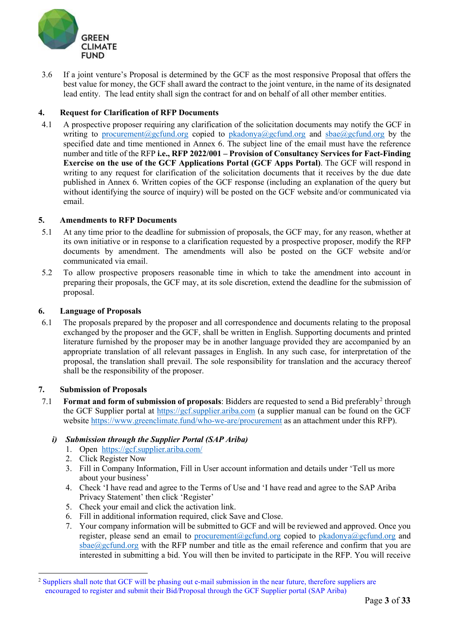

3.6 If a joint venture's Proposal is determined by the GCF as the most responsive Proposal that offers the best value for money, the GCF shall award the contract to the joint venture, in the name of its designated lead entity. The lead entity shall sign the contract for and on behalf of all other member entities.

## **4. Request for Clarification of RFP Documents**

4.1 A prospective proposer requiring any clarification of the solicitation documents may notify the GCF in writing to [procurement@gcfund.org](mailto:procurement@gcfund.org) copied to [pkadonya@gcfund.org](mailto:pkadonya@gcfund.org) and [sbae@gcfund.org](mailto:sbae@gcfund.org) by the specified date and time mentioned in Annex 6. The subject line of the email must have the reference number and title of the RFP **i.e., RFP 2022/001 – Provision of Consultancy Services for Fact-Finding Exercise on the use of the GCF Applications Portal (GCF Apps Portal)**. The GCF will respond in writing to any request for clarification of the solicitation documents that it receives by the due date published in Annex 6. Written copies of the GCF response (including an explanation of the query but without identifying the source of inquiry) will be posted on the GCF website and/or communicated via email.

### **5. Amendments to RFP Documents**

- 5.1 At any time prior to the deadline for submission of proposals, the GCF may, for any reason, whether at its own initiative or in response to a clarification requested by a prospective proposer, modify the RFP documents by amendment. The amendments will also be posted on the GCF website and/or communicated via email.
- 5.2 To allow prospective proposers reasonable time in which to take the amendment into account in preparing their proposals, the GCF may, at its sole discretion, extend the deadline for the submission of proposal.

### **6. Language of Proposals**

6.1 The proposals prepared by the proposer and all correspondence and documents relating to the proposal exchanged by the proposer and the GCF, shall be written in English. Supporting documents and printed literature furnished by the proposer may be in another language provided they are accompanied by an appropriate translation of all relevant passages in English. In any such case, for interpretation of the proposal, the translation shall prevail. The sole responsibility for translation and the accuracy thereof shall be the responsibility of the proposer.

#### **7. Submission of Proposals**

7.1 **Format and form of submission of proposals**: Bidders are requested to send a Bid preferabl[y2](#page-2-0) through the GCF Supplier portal at [https://gcf.supplier.ariba.com](https://gcf.supplier.ariba.com/) (a supplier manual can be found on the GCF website<https://www.greenclimate.fund/who-we-are/procurement> as an attachment under this RFP).

## *i) Submission through the Supplier Portal (SAP Ariba)*

- 1. Open [https://gcf.supplier.ariba.com/](https://apac01.safelinks.protection.outlook.com/?url=https%3A%2F%2Fgcf.supplier.ariba.com%2F&data=02%7C01%7C%7C16023df9115f4067c11808d67f8c919c%7C2d111364031c485cb260c38cbb3f5cdf%7C0%7C0%7C636836640160754670&sdata=aCHWRcOTf4wVw2wscD39tF4uJZC8j6a%2FTtEMQfvUS8A%3D&reserved=0)
- 2. Click Register Now
- 3. Fill in Company Information, Fill in User account information and details under 'Tell us more about your business'
- 4. Check 'I have read and agree to the Terms of Use and 'I have read and agree to the SAP Ariba Privacy Statement' then click 'Register'
- 5. Check your email and click the activation link.
- 6. Fill in additional information required, click Save and Close.
- 7. Your company information will be submitted to GCF and will be reviewed and approved. Once you register, please send an email to [procurement@gcfund.org](mailto:procurement@gcfund.org) copied to [pkadonya@gcfund.org](mailto:pkadonya@gcfund.org) and  $sbae@gcfund.org$  with the RFP number and title as the email reference and confirm that you are interested in submitting a bid. You will then be invited to participate in the RFP. You will receive

<span id="page-2-0"></span><sup>2</sup> Suppliers shall note that GCF will be phasing out e-mail submission in the near future, therefore suppliers are encouraged to register and submit their Bid/Proposal through the GCF Supplier portal (SAP Ariba)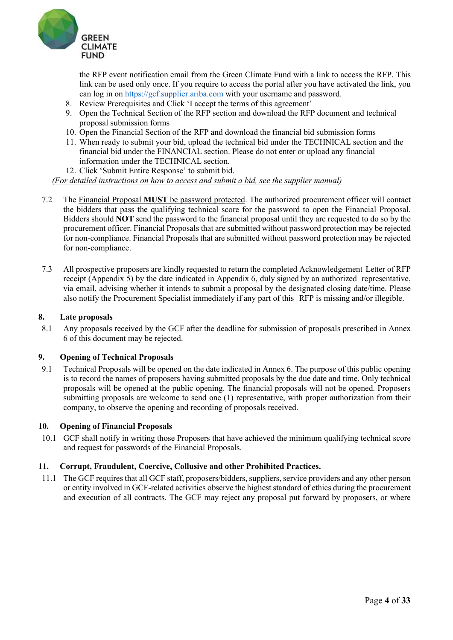

the RFP event notification email from the Green Climate Fund with a link to access the RFP. This link can be used only once. If you require to access the portal after you have activated the link, you can log in on [https://gcf.supplier.ariba.com](https://gcf.supplier.ariba.com/) with your username and password.

- 8. Review Prerequisites and Click 'I accept the terms of this agreement'
- 9. Open the Technical Section of the RFP section and download the RFP document and technical proposal submission forms
- 10. Open the Financial Section of the RFP and download the financial bid submission forms
- 11. When ready to submit your bid, upload the technical bid under the TECHNICAL section and the financial bid under the FINANCIAL section. Please do not enter or upload any financial information under the TECHNICAL section.
- 12. Click 'Submit Entire Response' to submit bid.

*(For detailed instructions on how to access and submit a bid, see the supplier manual)* 

- 7.2 The Financial Proposal **MUST** be password protected. The authorized procurement officer will contact the bidders that pass the qualifying technical score for the password to open the Financial Proposal. Bidders should **NOT** send the password to the financial proposal until they are requested to do so by the procurement officer. Financial Proposals that are submitted without password protection may be rejected for non-compliance. Financial Proposals that are submitted without password protection may be rejected for non-compliance.
- 7.3 All prospective proposers are kindly requested to return the completed Acknowledgement Letter of RFP receipt (Appendix 5) by the date indicated in Appendix 6, duly signed by an authorized representative, via email, advising whether it intends to submit a proposal by the designated closing date/time. Please also notify the Procurement Specialist immediately if any part of this RFP is missing and/or illegible.

#### **8. Late proposals**

8.1 Any proposals received by the GCF after the deadline for submission of proposals prescribed in Annex 6 of this document may be rejected.

#### **9. Opening of Technical Proposals**

9.1 Technical Proposals will be opened on the date indicated in Annex 6. The purpose of this public opening is to record the names of proposers having submitted proposals by the due date and time. Only technical proposals will be opened at the public opening. The financial proposals will not be opened. Proposers submitting proposals are welcome to send one (1) representative, with proper authorization from their company, to observe the opening and recording of proposals received.

#### **10. Opening of Financial Proposals**

10.1 GCF shall notify in writing those Proposers that have achieved the minimum qualifying technical score and request for passwords of the Financial Proposals.

#### **11. Corrupt, Fraudulent, Coercive, Collusive and other Prohibited Practices.**

11.1 The GCF requires that all GCF staff, proposers/bidders, suppliers, service providers and any other person or entity involved in GCF-related activities observe the highest standard of ethics during the procurement and execution of all contracts. The GCF may reject any proposal put forward by proposers, or where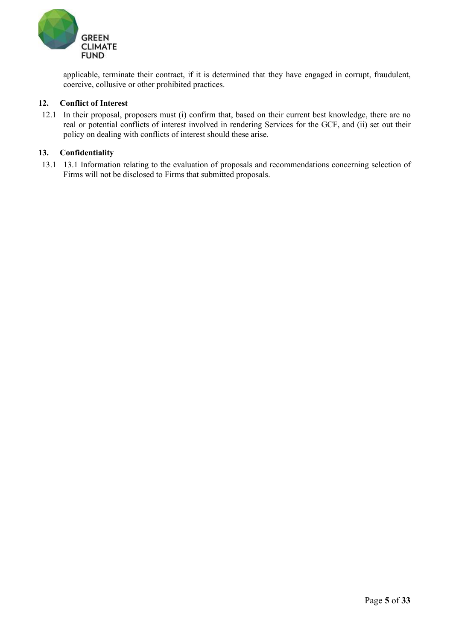

applicable, terminate their contract, if it is determined that they have engaged in corrupt, fraudulent, coercive, collusive or other prohibited practices.

#### **12. Conflict of Interest**

12.1 In their proposal, proposers must (i) confirm that, based on their current best knowledge, there are no real or potential conflicts of interest involved in rendering Services for the GCF, and (ii) set out their policy on dealing with conflicts of interest should these arise.

#### **13. Confidentiality**

13.1 13.1 Information relating to the evaluation of proposals and recommendations concerning selection of Firms will not be disclosed to Firms that submitted proposals.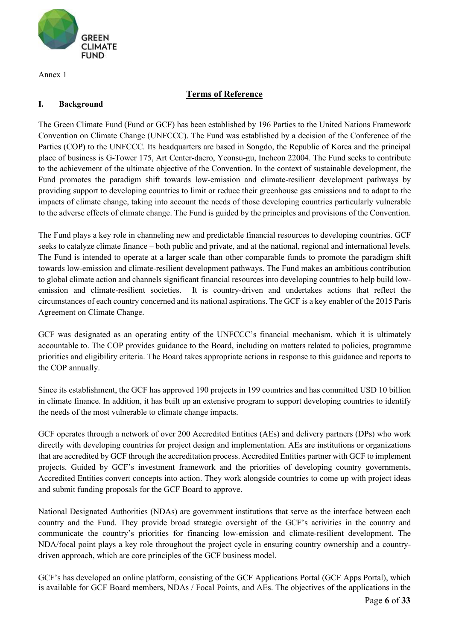

Annex 1

# **Terms of Reference**

## **I. Background**

The Green Climate Fund (Fund or GCF) has been established by 196 Parties to the United Nations Framework Convention on Climate Change (UNFCCC). The Fund was established by a decision of the Conference of the Parties (COP) to the UNFCCC. Its headquarters are based in Songdo, the Republic of Korea and the principal place of business is G-Tower 175, Art Center-daero, Yeonsu-gu, Incheon 22004. The Fund seeks to contribute to the achievement of the ultimate objective of the Convention. In the context of sustainable development, the Fund promotes the paradigm shift towards low-emission and climate-resilient development pathways by providing support to developing countries to limit or reduce their greenhouse gas emissions and to adapt to the impacts of climate change, taking into account the needs of those developing countries particularly vulnerable to the adverse effects of climate change. The Fund is guided by the principles and provisions of the Convention.

The Fund plays a key role in channeling new and predictable financial resources to developing countries. GCF seeks to catalyze climate finance – both public and private, and at the national, regional and international levels. The Fund is intended to operate at a larger scale than other comparable funds to promote the paradigm shift towards low-emission and climate-resilient development pathways. The Fund makes an ambitious contribution to global climate action and channels significant financial resources into developing countries to help build lowemission and climate-resilient societies. It is country-driven and undertakes actions that reflect the circumstances of each country concerned and its national aspirations. The GCF is a key enabler of the 2015 Paris Agreement on Climate Change.

GCF was designated as an operating entity of the UNFCCC's financial mechanism, which it is ultimately accountable to. The COP provides guidance to the Board, including on matters related to policies, programme priorities and eligibility criteria. The Board takes appropriate actions in response to this guidance and reports to the COP annually.

Since its establishment, the GCF has approved 190 projects in 199 countries and has committed USD 10 billion in climate finance. In addition, it has built up an extensive program to support developing countries to identify the needs of the most vulnerable to climate change impacts.

GCF operates through a network of over 200 Accredited Entities (AEs) and delivery partners (DPs) who work directly with developing countries for project design and implementation. AEs are institutions or organizations that are accredited by GCF through the accreditation process. Accredited Entities partner with GCF to implement projects. Guided by GCF's investment framework and the priorities of developing country governments, Accredited Entities convert concepts into action. They work alongside countries to come up with project ideas and submit funding proposals for the GCF Board to approve.

National Designated Authorities (NDAs) are government institutions that serve as the interface between each country and the Fund. They provide broad strategic oversight of the GCF's activities in the country and communicate the country's priorities for financing low-emission and climate-resilient development. The NDA/focal point plays a key role throughout the project cycle in ensuring country ownership and a countrydriven approach, which are core principles of the GCF business model.

GCF's has developed an online platform, consisting of the GCF Applications Portal (GCF Apps Portal), which is available for GCF Board members, NDAs / Focal Points, and AEs. The objectives of the applications in the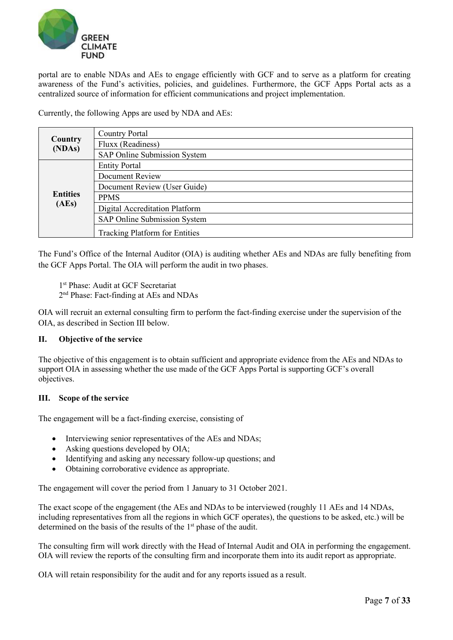

portal are to enable NDAs and AEs to engage efficiently with GCF and to serve as a platform for creating awareness of the Fund's activities, policies, and guidelines. Furthermore, the GCF Apps Portal acts as a centralized source of information for efficient communications and project implementation.

Currently, the following Apps are used by NDA and AEs:

|                   | <b>Country Portal</b>                 |
|-------------------|---------------------------------------|
| Country<br>(NDAs) | Fluxx (Readiness)                     |
|                   | SAP Online Submission System          |
|                   | <b>Entity Portal</b>                  |
|                   | <b>Document Review</b>                |
|                   | Document Review (User Guide)          |
| <b>Entities</b>   | <b>PPMS</b>                           |
| (AEs)             | Digital Accreditation Platform        |
|                   | SAP Online Submission System          |
|                   | <b>Tracking Platform for Entities</b> |

The Fund's Office of the Internal Auditor (OIA) is auditing whether AEs and NDAs are fully benefiting from the GCF Apps Portal. The OIA will perform the audit in two phases.

- 1<sup>st</sup> Phase: Audit at GCF Secretariat
- 2nd Phase: Fact-finding at AEs and NDAs

OIA will recruit an external consulting firm to perform the fact-finding exercise under the supervision of the OIA, as described in Section III below.

#### **II. Objective of the service**

The objective of this engagement is to obtain sufficient and appropriate evidence from the AEs and NDAs to support OIA in assessing whether the use made of the GCF Apps Portal is supporting GCF's overall objectives.

#### **III. Scope of the service**

The engagement will be a fact-finding exercise, consisting of

- Interviewing senior representatives of the AEs and NDAs;
- Asking questions developed by OIA;
- Identifying and asking any necessary follow-up questions; and
- Obtaining corroborative evidence as appropriate.

The engagement will cover the period from 1 January to 31 October 2021.

The exact scope of the engagement (the AEs and NDAs to be interviewed (roughly 11 AEs and 14 NDAs, including representatives from all the regions in which GCF operates), the questions to be asked, etc.) will be determined on the basis of the results of the 1<sup>st</sup> phase of the audit.

The consulting firm will work directly with the Head of Internal Audit and OIA in performing the engagement. OIA will review the reports of the consulting firm and incorporate them into its audit report as appropriate.

OIA will retain responsibility for the audit and for any reports issued as a result.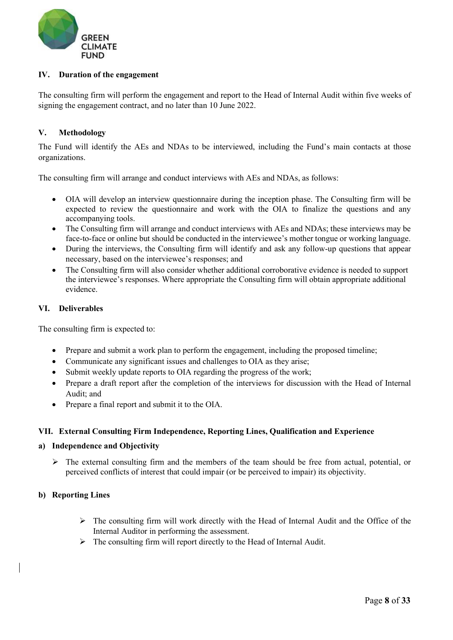

## **IV. Duration of the engagement**

The consulting firm will perform the engagement and report to the Head of Internal Audit within five weeks of signing the engagement contract, and no later than 10 June 2022.

#### **V. Methodology**

The Fund will identify the AEs and NDAs to be interviewed, including the Fund's main contacts at those organizations.

The consulting firm will arrange and conduct interviews with AEs and NDAs, as follows:

- OIA will develop an interview questionnaire during the inception phase. The Consulting firm will be expected to review the questionnaire and work with the OIA to finalize the questions and any accompanying tools.
- The Consulting firm will arrange and conduct interviews with AEs and NDAs; these interviews may be face-to-face or online but should be conducted in the interviewee's mother tongue or working language.
- During the interviews, the Consulting firm will identify and ask any follow-up questions that appear necessary, based on the interviewee's responses; and
- The Consulting firm will also consider whether additional corroborative evidence is needed to support the interviewee's responses. Where appropriate the Consulting firm will obtain appropriate additional evidence.

#### **VI. Deliverables**

The consulting firm is expected to:

- Prepare and submit a work plan to perform the engagement, including the proposed timeline;
- Communicate any significant issues and challenges to OIA as they arise;
- Submit weekly update reports to OIA regarding the progress of the work;
- Prepare a draft report after the completion of the interviews for discussion with the Head of Internal Audit; and
- Prepare a final report and submit it to the OIA.

#### **VII. External Consulting Firm Independence, Reporting Lines, Qualification and Experience**

#### **a) Independence and Objectivity**

 $\triangleright$  The external consulting firm and the members of the team should be free from actual, potential, or perceived conflicts of interest that could impair (or be perceived to impair) its objectivity.

#### **b) Reporting Lines**

- $\triangleright$  The consulting firm will work directly with the Head of Internal Audit and the Office of the Internal Auditor in performing the assessment.
- $\triangleright$  The consulting firm will report directly to the Head of Internal Audit.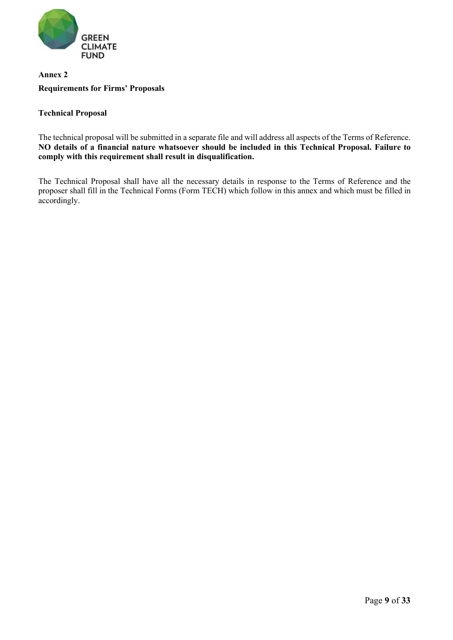

# **Annex 2 Requirements for Firms' Proposals**

## **Technical Proposal**

The technical proposal will be submitted in a separate file and will address all aspects of the Terms of Reference. **NO details of a financial nature whatsoever should be included in this Technical Proposal. Failure to comply with this requirement shall result in disqualification.**

The Technical Proposal shall have all the necessary details in response to the Terms of Reference and the proposer shall fill in the Technical Forms (Form TECH) which follow in this annex and which must be filled in accordingly.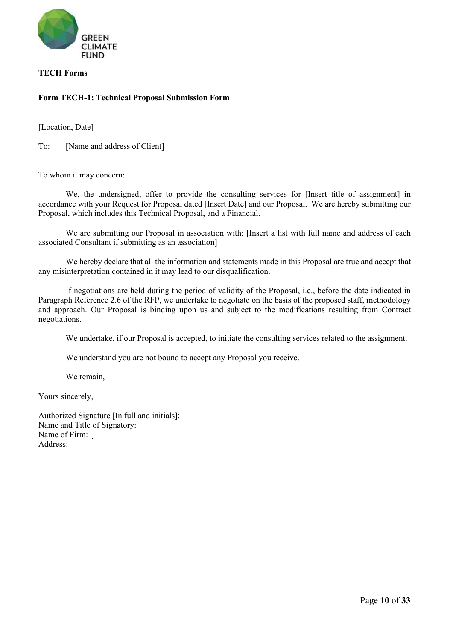

#### **TECH Forms**

### **Form TECH-1: Technical Proposal Submission Form**

[Location, Date]

To: [Name and address of Client]

To whom it may concern:

We, the undersigned, offer to provide the consulting services for [Insert title of assignment] in accordance with your Request for Proposal dated [Insert Date] and our Proposal. We are hereby submitting our Proposal, which includes this Technical Proposal, and a Financial.

We are submitting our Proposal in association with: [Insert a list with full name and address of each associated Consultant if submitting as an association]

We hereby declare that all the information and statements made in this Proposal are true and accept that any misinterpretation contained in it may lead to our disqualification.

If negotiations are held during the period of validity of the Proposal, i.e., before the date indicated in Paragraph Reference 2.6 of the RFP, we undertake to negotiate on the basis of the proposed staff, methodology and approach. Our Proposal is binding upon us and subject to the modifications resulting from Contract negotiations.

We undertake, if our Proposal is accepted, to initiate the consulting services related to the assignment.

We understand you are not bound to accept any Proposal you receive.

We remain,

Yours sincerely,

Authorized Signature [In full and initials]: Name and Title of Signatory: \_ Name of Firm: Address: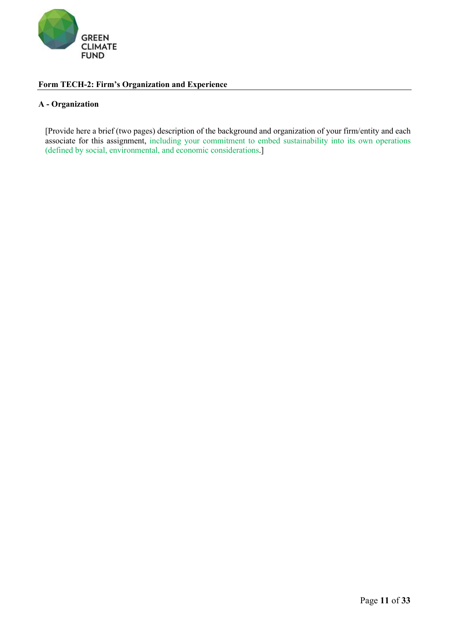

## **Form TECH-2: Firm's Organization and Experience**

#### **A - Organization**

[Provide here a brief (two pages) description of the background and organization of your firm/entity and each associate for this assignment, including your commitment to embed sustainability into its own operations (defined by social, environmental, and economic considerations.]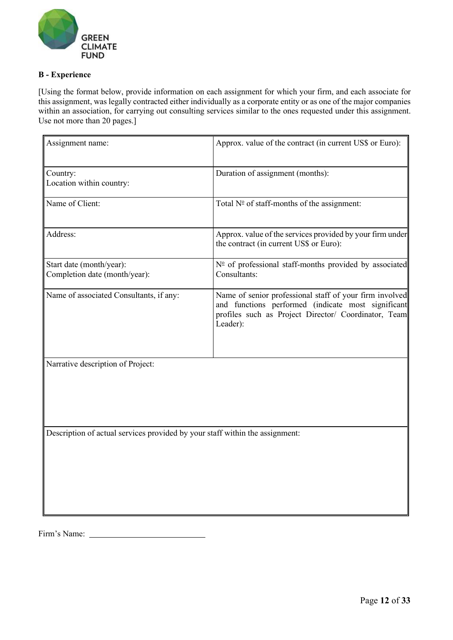

## **B - Experience**

[Using the format below, provide information on each assignment for which your firm, and each associate for this assignment, was legally contracted either individually as a corporate entity or as one of the major companies within an association, for carrying out consulting services similar to the ones requested under this assignment. Use not more than 20 pages.]

| Assignment name:                                                             | Approx. value of the contract (in current US\$ or Euro):                                                                                                                          |
|------------------------------------------------------------------------------|-----------------------------------------------------------------------------------------------------------------------------------------------------------------------------------|
| Country:<br>Location within country:                                         | Duration of assignment (months):                                                                                                                                                  |
| Name of Client:                                                              | Total Nº of staff-months of the assignment:                                                                                                                                       |
| Address:                                                                     | Approx. value of the services provided by your firm under<br>the contract (in current US\$ or Euro):                                                                              |
| Start date (month/year):<br>Completion date (month/year):                    | $No$ of professional staff-months provided by associated<br>Consultants:                                                                                                          |
| Name of associated Consultants, if any:                                      | Name of senior professional staff of your firm involved<br>and functions performed (indicate most significant<br>profiles such as Project Director/ Coordinator, Team<br>Leader): |
| Narrative description of Project:                                            |                                                                                                                                                                                   |
| Description of actual services provided by your staff within the assignment: |                                                                                                                                                                                   |

Firm's Name: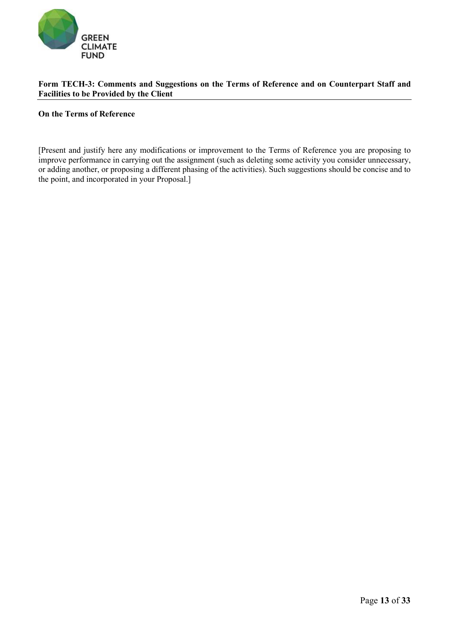

### **Form TECH-3: Comments and Suggestions on the Terms of Reference and on Counterpart Staff and Facilities to be Provided by the Client**

#### **On the Terms of Reference**

[Present and justify here any modifications or improvement to the Terms of Reference you are proposing to improve performance in carrying out the assignment (such as deleting some activity you consider unnecessary, or adding another, or proposing a different phasing of the activities). Such suggestions should be concise and to the point, and incorporated in your Proposal.]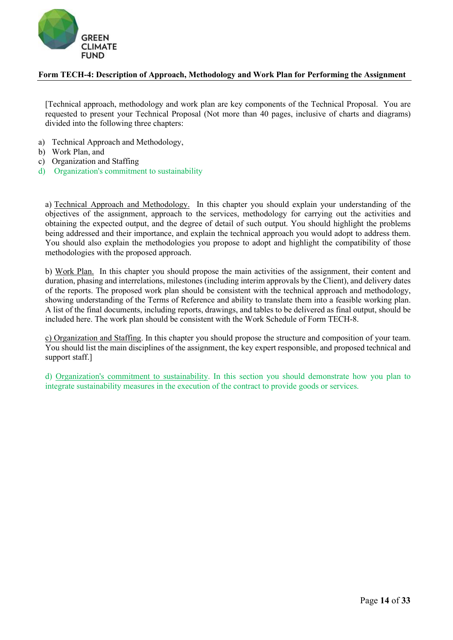

### **Form TECH-4: Description of Approach, Methodology and Work Plan for Performing the Assignment**

[Technical approach, methodology and work plan are key components of the Technical Proposal. You are requested to present your Technical Proposal (Not more than 40 pages, inclusive of charts and diagrams) divided into the following three chapters:

- a) Technical Approach and Methodology,
- b) Work Plan, and
- c) Organization and Staffing
- d) Organization's commitment to sustainability

a) Technical Approach and Methodology. In this chapter you should explain your understanding of the objectives of the assignment, approach to the services, methodology for carrying out the activities and obtaining the expected output, and the degree of detail of such output. You should highlight the problems being addressed and their importance, and explain the technical approach you would adopt to address them. You should also explain the methodologies you propose to adopt and highlight the compatibility of those methodologies with the proposed approach.

b) Work Plan. In this chapter you should propose the main activities of the assignment, their content and duration, phasing and interrelations, milestones (including interim approvals by the Client), and delivery dates of the reports. The proposed work plan should be consistent with the technical approach and methodology, showing understanding of the Terms of Reference and ability to translate them into a feasible working plan. A list of the final documents, including reports, drawings, and tables to be delivered as final output, should be included here. The work plan should be consistent with the Work Schedule of Form TECH-8.

c) Organization and Staffing. In this chapter you should propose the structure and composition of your team. You should list the main disciplines of the assignment, the key expert responsible, and proposed technical and support staff.]

d) Organization's commitment to sustainability. In this section you should demonstrate how you plan to integrate sustainability measures in the execution of the contract to provide goods or services.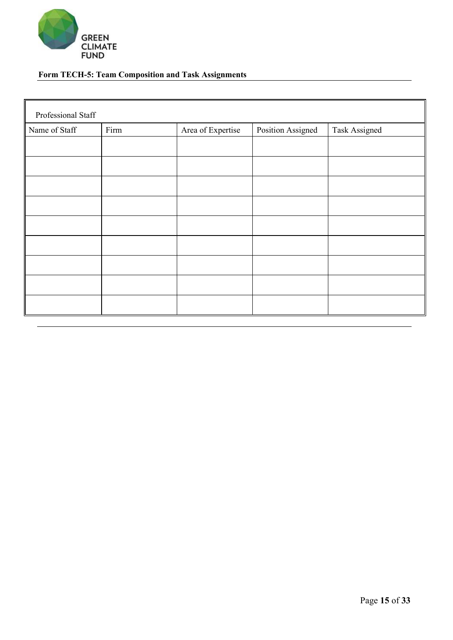

# **Form TECH-5: Team Composition and Task Assignments**

| Professional Staff |      |                   |                   |               |
|--------------------|------|-------------------|-------------------|---------------|
| Name of Staff      | Firm | Area of Expertise | Position Assigned | Task Assigned |
|                    |      |                   |                   |               |
|                    |      |                   |                   |               |
|                    |      |                   |                   |               |
|                    |      |                   |                   |               |
|                    |      |                   |                   |               |
|                    |      |                   |                   |               |
|                    |      |                   |                   |               |
|                    |      |                   |                   |               |
|                    |      |                   |                   |               |
|                    |      |                   |                   |               |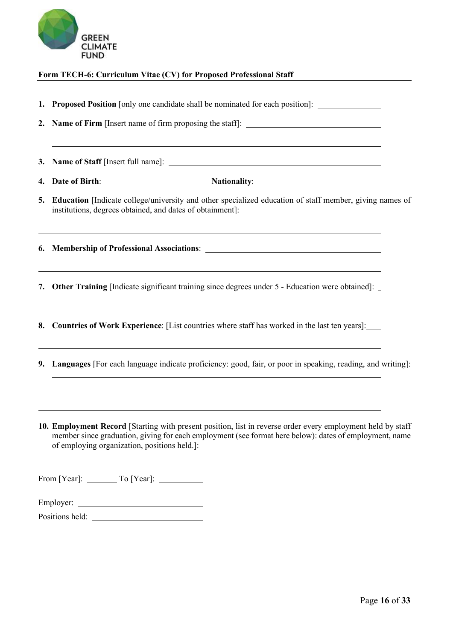

### **Form TECH-6: Curriculum Vitae (CV) for Proposed Professional Staff**

**1. Proposed Position** [only one candidate shall be nominated for each position]: **2. Name of Firm** [Insert name of firm proposing the staff]: **3. Name of Staff** [Insert full name]: **4. Date of Birth:** <u>Nationality:</u> Nationality: **5. Education** [Indicate college/university and other specialized education of staff member, giving names of institutions, degrees obtained, and dates of obtainment]: **6. Membership of Professional Associations**: **7. Other Training** [Indicate significant training since degrees under 5 - Education were obtained]: **8. Countries of Work Experience**: [List countries where staff has worked in the last ten years]: **9. Languages** [For each language indicate proficiency: good, fair, or poor in speaking, reading, and writing]:

**10. Employment Record** [Starting with present position, list in reverse order every employment held by staff member since graduation, giving for each employment (see format here below): dates of employment, name of employing organization, positions held.]:

From [Year]: To [Year]:

| Employer: |  |
|-----------|--|
|           |  |

Positions held: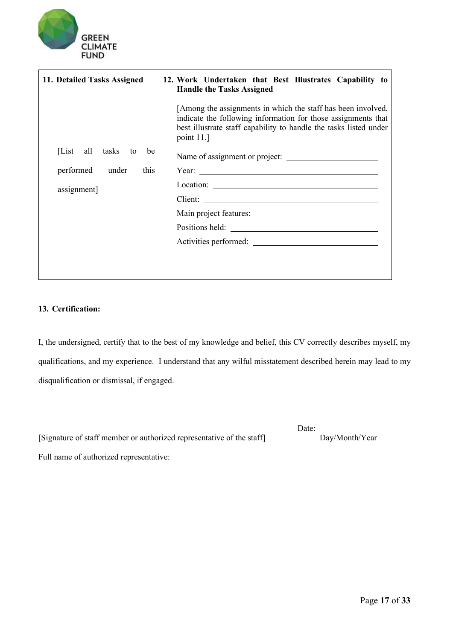

| 11. Detailed Tasks Assigned | 12. Work Undertaken that Best Illustrates Capability to<br><b>Handle the Tasks Assigned</b>                                                                                                                                    |
|-----------------------------|--------------------------------------------------------------------------------------------------------------------------------------------------------------------------------------------------------------------------------|
|                             | [Among the assignments in which the staff has been involved,<br>indicate the following information for those assignments that<br>best illustrate staff capability to handle the tasks listed under<br>point $11.]$             |
| [List all tasks to<br>be    | Name of assignment or project:                                                                                                                                                                                                 |
| this<br>performed<br>under  | Year: $\overline{\phantom{a}}$                                                                                                                                                                                                 |
| assignment]                 |                                                                                                                                                                                                                                |
|                             |                                                                                                                                                                                                                                |
|                             |                                                                                                                                                                                                                                |
|                             | Positions held: Note that the set of the set of the set of the set of the set of the set of the set of the set of the set of the set of the set of the set of the set of the set of the set of the set of the set of the set o |
|                             | Activities performed:                                                                                                                                                                                                          |
|                             |                                                                                                                                                                                                                                |

## **13. Certification:**

I, the undersigned, certify that to the best of my knowledge and belief, this CV correctly describes myself, my qualifications, and my experience. I understand that any wilful misstatement described herein may lead to my disqualification or dismissal, if engaged.

|                                                                       | Date:          |
|-----------------------------------------------------------------------|----------------|
| [Signature of staff member or authorized representative of the staff] | Day/Month/Year |
| Full name of authorized representative:                               |                |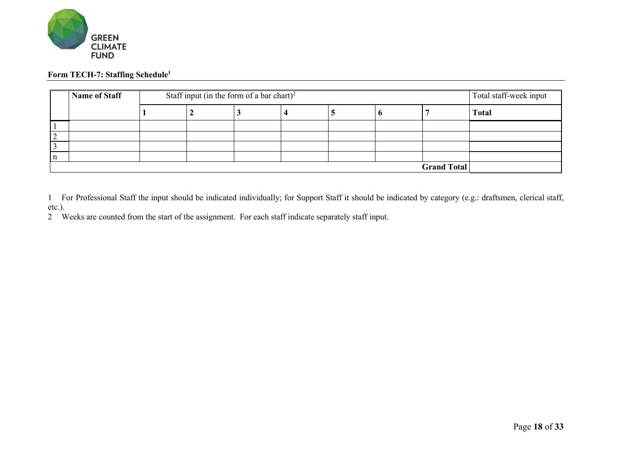

## **Form TECH-7: Staffing Schedule1**

|   | <b>Name of Staff</b> |  | Staff input (in the form of a bar chart) <sup>2</sup> |  |  |  |  |  | Total staff-week input |
|---|----------------------|--|-------------------------------------------------------|--|--|--|--|--|------------------------|
|   |                      |  | v                                                     |  |  |  |  |  | <b>Total</b>           |
|   |                      |  |                                                       |  |  |  |  |  |                        |
|   |                      |  |                                                       |  |  |  |  |  |                        |
|   |                      |  |                                                       |  |  |  |  |  |                        |
| n |                      |  |                                                       |  |  |  |  |  |                        |
|   | <b>Grand Total</b>   |  |                                                       |  |  |  |  |  |                        |

1 For Professional Staff the input should be indicated individually; for Support Staff it should be indicated by category (e.g.: draftsmen, clerical staff, etc.).

2 Weeks are counted from the start of the assignment. For each staff indicate separately staff input.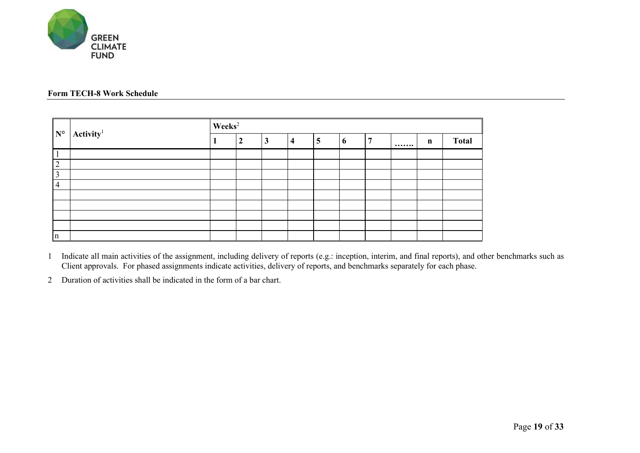

## **Form TECH-8 Work Schedule**

| $\mathbf{N}^{\circ}$ | $\mathbf{Activity}^1$ | $\textbf{Weeks}^2$ |                  |   |   |   |   |  |       |              |
|----------------------|-----------------------|--------------------|------------------|---|---|---|---|--|-------|--------------|
|                      |                       |                    | $\boldsymbol{2}$ | 3 | 4 | 5 | o |  | <br>n | <b>Total</b> |
| $\mathbf{1}$         |                       |                    |                  |   |   |   |   |  |       |              |
| $\vert$ 2            |                       |                    |                  |   |   |   |   |  |       |              |
| 3                    |                       |                    |                  |   |   |   |   |  |       |              |
| $\vert 4$            |                       |                    |                  |   |   |   |   |  |       |              |
|                      |                       |                    |                  |   |   |   |   |  |       |              |
|                      |                       |                    |                  |   |   |   |   |  |       |              |
|                      |                       |                    |                  |   |   |   |   |  |       |              |
|                      |                       |                    |                  |   |   |   |   |  |       |              |
| $\ln$                |                       |                    |                  |   |   |   |   |  |       |              |

1 Indicate all main activities of the assignment, including delivery of reports (e.g.: inception, interim, and final reports), and other benchmarks such as Client approvals. For phased assignments indicate activities, delivery of reports, and benchmarks separately for each phase.

2 Duration of activities shall be indicated in the form of a bar chart.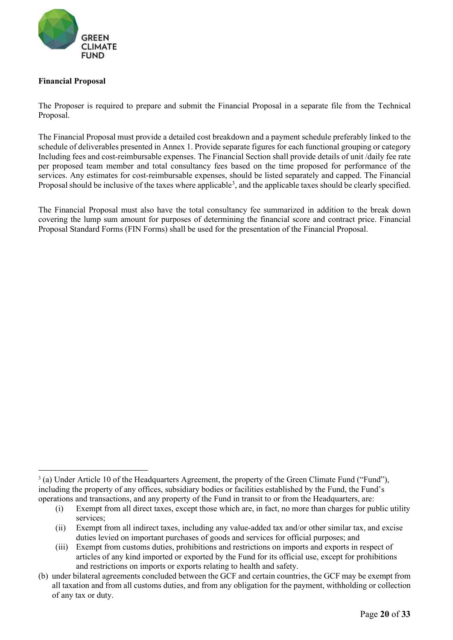

## **Financial Proposal**

The Proposer is required to prepare and submit the Financial Proposal in a separate file from the Technical Proposal.

The Financial Proposal must provide a detailed cost breakdown and a payment schedule preferably linked to the schedule of deliverables presented in Annex 1. Provide separate figures for each functional grouping or category Including fees and cost-reimbursable expenses. The Financial Section shall provide details of unit /daily fee rate per proposed team member and total consultancy fees based on the time proposed for performance of the services. Any estimates for cost-reimbursable expenses, should be listed separately and capped. The Financial Proposal should be inclusive of the taxes where applicable<sup>[3](#page-19-0)</sup>, and the applicable taxes should be clearly specified.

The Financial Proposal must also have the total consultancy fee summarized in addition to the break down covering the lump sum amount for purposes of determining the financial score and contract price. Financial Proposal Standard Forms (FIN Forms) shall be used for the presentation of the Financial Proposal.

<span id="page-19-0"></span><sup>3</sup> (a) Under Article 10 of the Headquarters Agreement, the property of the Green Climate Fund ("Fund"), including the property of any offices, subsidiary bodies or facilities established by the Fund, the Fund's operations and transactions, and any property of the Fund in transit to or from the Headquarters, are:

<sup>(</sup>i) Exempt from all direct taxes, except those which are, in fact, no more than charges for public utility services;

<sup>(</sup>ii) Exempt from all indirect taxes, including any value-added tax and/or other similar tax, and excise duties levied on important purchases of goods and services for official purposes; and

<sup>(</sup>iii) Exempt from customs duties, prohibitions and restrictions on imports and exports in respect of articles of any kind imported or exported by the Fund for its official use, except for prohibitions and restrictions on imports or exports relating to health and safety.

<sup>(</sup>b) under bilateral agreements concluded between the GCF and certain countries, the GCF may be exempt from all taxation and from all customs duties, and from any obligation for the payment, withholding or collection of any tax or duty.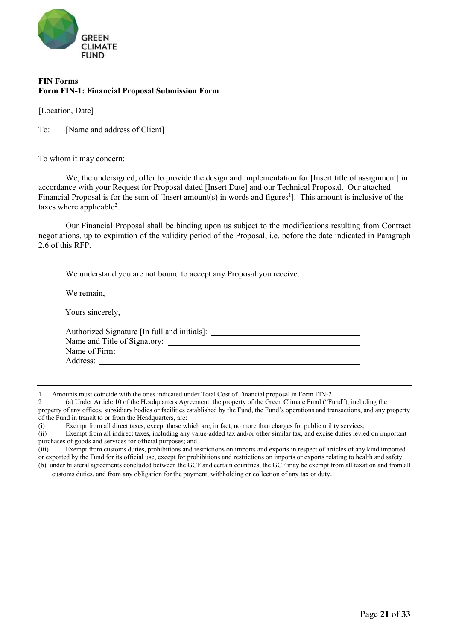

## **FIN Forms Form FIN-1: Financial Proposal Submission Form**

[Location, Date]

To: [Name and address of Client]

To whom it may concern:

We, the undersigned, offer to provide the design and implementation for [Insert title of assignment] in accordance with your Request for Proposal dated [Insert Date] and our Technical Proposal. Our attached Financial Proposal is for the sum of [Insert amount(s) in words and figures<sup>1</sup>]. This amount is inclusive of the taxes where applicable<sup>2</sup>.

Our Financial Proposal shall be binding upon us subject to the modifications resulting from Contract negotiations, up to expiration of the validity period of the Proposal, i.e. before the date indicated in Paragraph 2.6 of this RFP.

We understand you are not bound to accept any Proposal you receive.

We remain,

Yours sincerely,

| Authorized Signature [In full and initials]: |  |
|----------------------------------------------|--|
|                                              |  |
| Name of Firm:                                |  |
| Address:                                     |  |
|                                              |  |

customs duties, and from any obligation for the payment, withholding or collection of any tax or duty.

<sup>1</sup> Amounts must coincide with the ones indicated under Total Cost of Financial proposal in Form FIN-2.

<sup>2</sup> (a) Under Article 10 of the Headquarters Agreement, the property of the Green Climate Fund ("Fund"), including the property of any offices, subsidiary bodies or facilities established by the Fund, the Fund's operations and transactions, and any property of the Fund in transit to or from the Headquarters, are:

<sup>(</sup>i) Exempt from all direct taxes, except those which are, in fact, no more than charges for public utility services;

<sup>(</sup>ii) Exempt from all indirect taxes, including any value-added tax and/or other similar tax, and excise duties levied on important purchases of goods and services for official purposes; and

<sup>(</sup>iii) Exempt from customs duties, prohibitions and restrictions on imports and exports in respect of articles of any kind imported or exported by the Fund for its official use, except for prohibitions and restrictions on imports or exports relating to health and safety. (b) under bilateral agreements concluded between the GCF and certain countries, the GCF may be exempt from all taxation and from all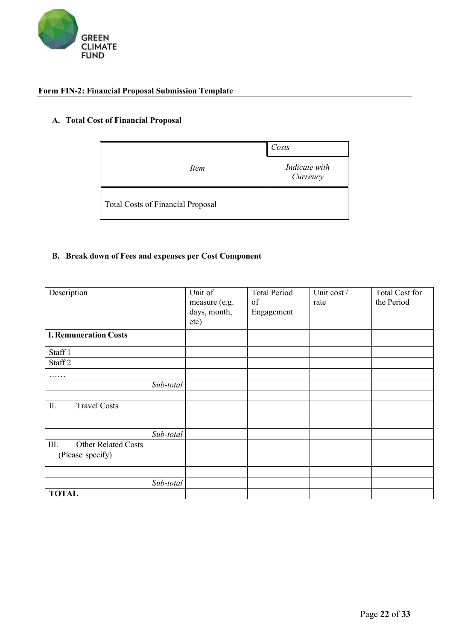

# **Form FIN-2: Financial Proposal Submission Template**

## **A. Total Cost of Financial Proposal**

|                                          | Costs                     |  |  |
|------------------------------------------|---------------------------|--|--|
| Item                                     | Indicate with<br>Currency |  |  |
| <b>Total Costs of Financial Proposal</b> |                           |  |  |

# **B. Break down of Fees and expenses per Cost Component**

| Description                        | Unit of       | <b>Total Period</b> | Unit cost / | Total Cost for |
|------------------------------------|---------------|---------------------|-------------|----------------|
|                                    | measure (e.g. | of                  | rate        | the Period     |
|                                    | days, month,  | Engagement          |             |                |
|                                    | etc)          |                     |             |                |
| <b>I. Remuneration Costs</b>       |               |                     |             |                |
| Staff 1                            |               |                     |             |                |
| Staff <sub>2</sub>                 |               |                     |             |                |
| .                                  |               |                     |             |                |
| Sub-total                          |               |                     |             |                |
|                                    |               |                     |             |                |
| II.<br><b>Travel Costs</b>         |               |                     |             |                |
|                                    |               |                     |             |                |
| Sub-total                          |               |                     |             |                |
| III.<br><b>Other Related Costs</b> |               |                     |             |                |
| (Please specify)                   |               |                     |             |                |
|                                    |               |                     |             |                |
| Sub-total                          |               |                     |             |                |
| <b>TOTAL</b>                       |               |                     |             |                |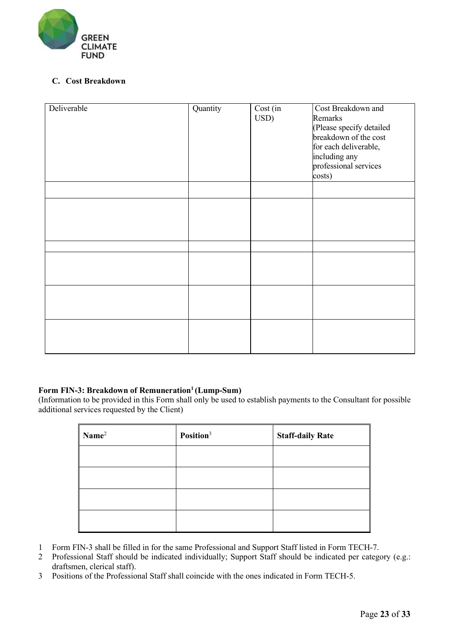

## **C. Cost Breakdown**

| Deliverable | Quantity | $Cost$ $\overline{(\text{in})}$<br>USD) | Cost Breakdown and<br>Remarks<br>(Please specify detailed<br>breakdown of the cost<br>for each deliverable,<br>including any<br>professional services<br>costs) |
|-------------|----------|-----------------------------------------|-----------------------------------------------------------------------------------------------------------------------------------------------------------------|
|             |          |                                         |                                                                                                                                                                 |
|             |          |                                         |                                                                                                                                                                 |
|             |          |                                         |                                                                                                                                                                 |
|             |          |                                         |                                                                                                                                                                 |
|             |          |                                         |                                                                                                                                                                 |
|             |          |                                         |                                                                                                                                                                 |

## Form FIN-3: Breakdown of Remuneration<sup>1</sup> (Lump-Sum)

(Information to be provided in this Form shall only be used to establish payments to the Consultant for possible additional services requested by the Client)

| Name <sup>2</sup> | Position <sup>3</sup> | <b>Staff-daily Rate</b> |  |
|-------------------|-----------------------|-------------------------|--|
|                   |                       |                         |  |
|                   |                       |                         |  |
|                   |                       |                         |  |
|                   |                       |                         |  |

- 1 Form FIN-3 shall be filled in for the same Professional and Support Staff listed in Form TECH-7.
- 2 Professional Staff should be indicated individually; Support Staff should be indicated per category (e.g.: draftsmen, clerical staff).
- 3 Positions of the Professional Staff shall coincide with the ones indicated in Form TECH-5.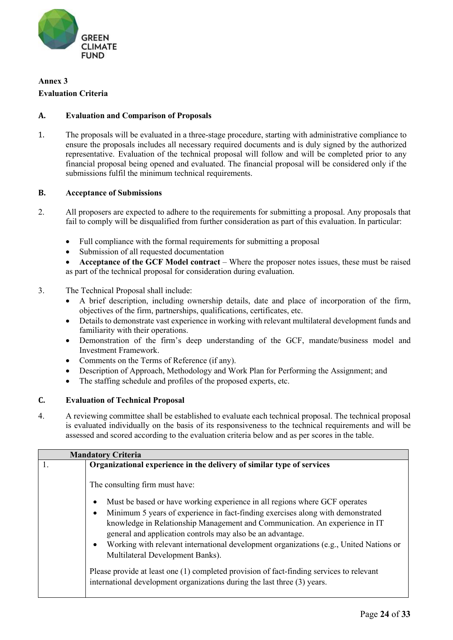

# **Annex 3**

### **Evaluation Criteria**

## **A. Evaluation and Comparison of Proposals**

1. The proposals will be evaluated in a three-stage procedure, starting with administrative compliance to ensure the proposals includes all necessary required documents and is duly signed by the authorized representative. Evaluation of the technical proposal will follow and will be completed prior to any financial proposal being opened and evaluated. The financial proposal will be considered only if the submissions fulfil the minimum technical requirements.

### **B. Acceptance of Submissions**

- 2. All proposers are expected to adhere to the requirements for submitting a proposal. Any proposals that fail to comply will be disqualified from further consideration as part of this evaluation. In particular:
	- Full compliance with the formal requirements for submitting a proposal
	- Submission of all requested documentation

• **Acceptance of the GCF Model contract** – Where the proposer notes issues, these must be raised as part of the technical proposal for consideration during evaluation.

- 3. The Technical Proposal shall include:
	- A brief description, including ownership details, date and place of incorporation of the firm, objectives of the firm, partnerships, qualifications, certificates, etc.
	- Details to demonstrate vast experience in working with relevant multilateral development funds and familiarity with their operations.
	- Demonstration of the firm's deep understanding of the GCF, mandate/business model and Investment Framework.
	- Comments on the Terms of Reference (if any).
	- Description of Approach, Methodology and Work Plan for Performing the Assignment; and
	- The staffing schedule and profiles of the proposed experts, etc.

#### **C. Evaluation of Technical Proposal**

4. A reviewing committee shall be established to evaluate each technical proposal. The technical proposal is evaluated individually on the basis of its responsiveness to the technical requirements and will be assessed and scored according to the evaluation criteria below and as per scores in the table.

|    | <b>Mandatory Criteria</b>                                                                                                                                            |  |  |
|----|----------------------------------------------------------------------------------------------------------------------------------------------------------------------|--|--|
| 1. | Organizational experience in the delivery of similar type of services                                                                                                |  |  |
|    | The consulting firm must have:                                                                                                                                       |  |  |
|    | Must be based or have working experience in all regions where GCF operates<br>$\bullet$                                                                              |  |  |
|    | Minimum 5 years of experience in fact-finding exercises along with demonstrated<br>$\bullet$                                                                         |  |  |
|    | knowledge in Relationship Management and Communication. An experience in IT<br>general and application controls may also be an advantage.                            |  |  |
|    | Working with relevant international development organizations (e.g., United Nations or<br>$\bullet$<br>Multilateral Development Banks).                              |  |  |
|    | Please provide at least one (1) completed provision of fact-finding services to relevant<br>international development organizations during the last three (3) years. |  |  |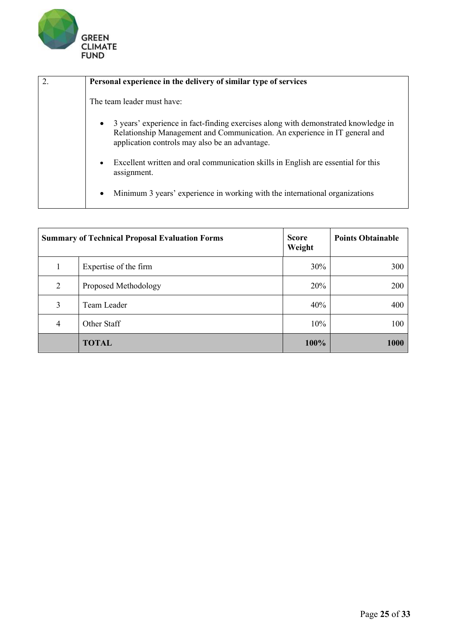

| 2. | Personal experience in the delivery of similar type of services                                                                                                                                                                 |
|----|---------------------------------------------------------------------------------------------------------------------------------------------------------------------------------------------------------------------------------|
|    | The team leader must have:                                                                                                                                                                                                      |
|    | 3 years' experience in fact-finding exercises along with demonstrated knowledge in<br>$\bullet$<br>Relationship Management and Communication. An experience in IT general and<br>application controls may also be an advantage. |
|    | Excellent written and oral communication skills in English are essential for this<br>$\bullet$<br>assignment.                                                                                                                   |
|    | Minimum 3 years' experience in working with the international organizations<br>$\bullet$                                                                                                                                        |

|                | <b>Summary of Technical Proposal Evaluation Forms</b> | <b>Score</b><br>Weight | <b>Points Obtainable</b> |
|----------------|-------------------------------------------------------|------------------------|--------------------------|
|                | Expertise of the firm                                 | 30%                    | 300                      |
| 2              | Proposed Methodology                                  | 20%                    | 200                      |
| 3              | Team Leader                                           | 40%                    | 400                      |
| $\overline{4}$ | Other Staff                                           | 10%                    | 100                      |
|                | <b>TOTAL</b>                                          | 100%                   | 1000                     |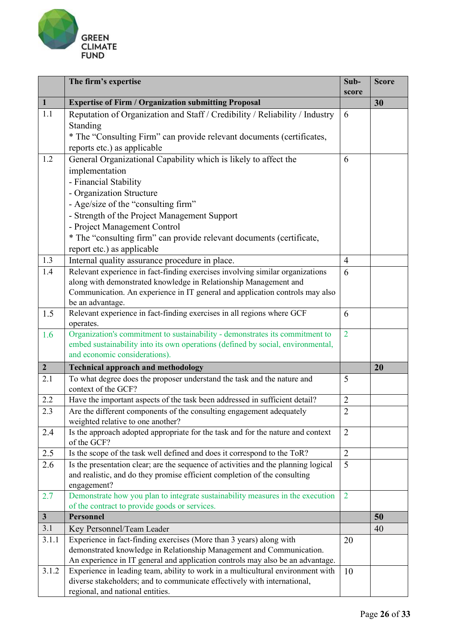

|                | The firm's expertise                                                                                                                                        | Sub-           | <b>Score</b> |
|----------------|-------------------------------------------------------------------------------------------------------------------------------------------------------------|----------------|--------------|
| $\mathbf{1}$   | <b>Expertise of Firm / Organization submitting Proposal</b>                                                                                                 | score          | 30           |
| 1.1            | Reputation of Organization and Staff / Credibility / Reliability / Industry                                                                                 | 6              |              |
|                | Standing                                                                                                                                                    |                |              |
|                | * The "Consulting Firm" can provide relevant documents (certificates,                                                                                       |                |              |
|                | reports etc.) as applicable                                                                                                                                 |                |              |
| 1.2            | General Organizational Capability which is likely to affect the                                                                                             | 6              |              |
|                | implementation                                                                                                                                              |                |              |
|                | - Financial Stability                                                                                                                                       |                |              |
|                | - Organization Structure                                                                                                                                    |                |              |
|                | - Age/size of the "consulting firm"                                                                                                                         |                |              |
|                | - Strength of the Project Management Support                                                                                                                |                |              |
|                | - Project Management Control                                                                                                                                |                |              |
|                | * The "consulting firm" can provide relevant documents (certificate,                                                                                        |                |              |
|                | report etc.) as applicable                                                                                                                                  |                |              |
| 1.3            | Internal quality assurance procedure in place.                                                                                                              | $\overline{4}$ |              |
| 1.4            | Relevant experience in fact-finding exercises involving similar organizations                                                                               | 6              |              |
|                | along with demonstrated knowledge in Relationship Management and                                                                                            |                |              |
|                | Communication. An experience in IT general and application controls may also                                                                                |                |              |
|                | be an advantage.                                                                                                                                            |                |              |
| 1.5            | Relevant experience in fact-finding exercises in all regions where GCF                                                                                      | 6              |              |
|                | operates.                                                                                                                                                   |                |              |
| 1.6            | Organization's commitment to sustainability - demonstrates its commitment to                                                                                | $\overline{2}$ |              |
|                | embed sustainability into its own operations (defined by social, environmental,                                                                             |                |              |
|                | and economic considerations).                                                                                                                               |                |              |
| $\overline{2}$ | <b>Technical approach and methodology</b>                                                                                                                   |                | 20           |
| 2.1            | To what degree does the proposer understand the task and the nature and                                                                                     | 5              |              |
|                | context of the GCF?                                                                                                                                         |                |              |
| 2.2            | Have the important aspects of the task been addressed in sufficient detail?                                                                                 | $\overline{2}$ |              |
| 2.3            | Are the different components of the consulting engagement adequately<br>weighted relative to one another?                                                   | $\overline{2}$ |              |
| 2.4            | Is the approach adopted appropriate for the task and for the nature and context                                                                             | $\overline{2}$ |              |
|                | of the GCF?                                                                                                                                                 |                |              |
| 2.5            | Is the scope of the task well defined and does it correspond to the ToR?                                                                                    | $\overline{2}$ |              |
| 2.6            | Is the presentation clear; are the sequence of activities and the planning logical                                                                          | $\overline{5}$ |              |
|                | and realistic, and do they promise efficient completion of the consulting                                                                                   |                |              |
|                | engagement?                                                                                                                                                 |                |              |
| 2.7            | Demonstrate how you plan to integrate sustainability measures in the execution                                                                              | $\overline{2}$ |              |
|                | of the contract to provide goods or services.                                                                                                               |                |              |
| $\mathbf{3}$   | <b>Personnel</b>                                                                                                                                            |                | 50           |
| 3.1            | Key Personnel/Team Leader                                                                                                                                   |                | 40           |
| 3.1.1          | Experience in fact-finding exercises (More than 3 years) along with                                                                                         | 20             |              |
|                | demonstrated knowledge in Relationship Management and Communication.                                                                                        |                |              |
|                | An experience in IT general and application controls may also be an advantage.                                                                              |                |              |
| 3.1.2          | Experience in leading team, ability to work in a multicultural environment with<br>diverse stakeholders; and to communicate effectively with international, | 10             |              |
|                | regional, and national entities.                                                                                                                            |                |              |
|                |                                                                                                                                                             |                |              |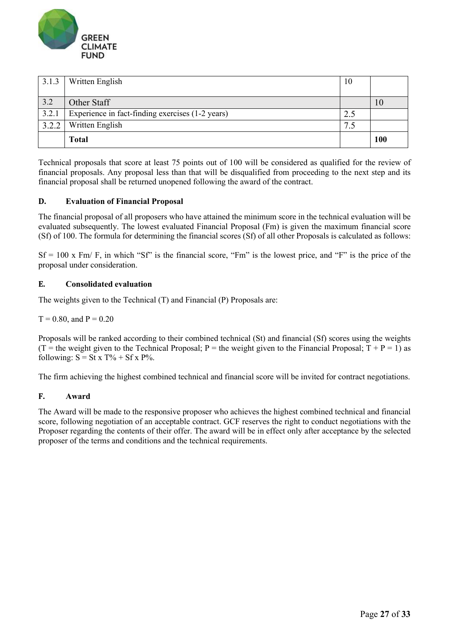

| 3.1.3 | Written English                                  | 10                        |     |
|-------|--------------------------------------------------|---------------------------|-----|
|       |                                                  |                           |     |
| 3.2   | Other Staff                                      |                           |     |
| 3.2.1 | Experience in fact-finding exercises (1-2 years) | 2.5                       |     |
| 3.2.2 | Written English                                  | $\mathbf{r}$<br>$\cdot$ . |     |
|       | <b>Total</b>                                     |                           | 100 |

Technical proposals that score at least 75 points out of 100 will be considered as qualified for the review of financial proposals. Any proposal less than that will be disqualified from proceeding to the next step and its financial proposal shall be returned unopened following the award of the contract.

## **D. Evaluation of Financial Proposal**

The financial proposal of all proposers who have attained the minimum score in the technical evaluation will be evaluated subsequently. The lowest evaluated Financial Proposal (Fm) is given the maximum financial score (Sf) of 100. The formula for determining the financial scores (Sf) of all other Proposals is calculated as follows:

 $Sf = 100$  x Fm/ F, in which "Sf" is the financial score, "Fm" is the lowest price, and "F" is the price of the proposal under consideration.

## **E. Consolidated evaluation**

The weights given to the Technical (T) and Financial (P) Proposals are:

## $T = 0.80$ , and  $P = 0.20$

Proposals will be ranked according to their combined technical (St) and financial (Sf) scores using the weights (T = the weight given to the Technical Proposal; P = the weight given to the Financial Proposal;  $T + P = 1$ ) as following:  $S = St x T\% + Sf x P\%.$ 

The firm achieving the highest combined technical and financial score will be invited for contract negotiations.

## **F. Award**

The Award will be made to the responsive proposer who achieves the highest combined technical and financial score, following negotiation of an acceptable contract. GCF reserves the right to conduct negotiations with the Proposer regarding the contents of their offer. The award will be in effect only after acceptance by the selected proposer of the terms and conditions and the technical requirements.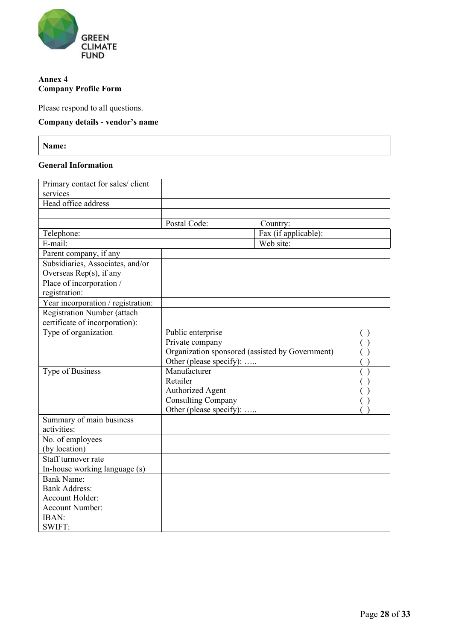

## **Annex 4 Company Profile Form**

Please respond to all questions.

# **Company details - vendor's name**

**Name:**

#### **General Information**

| Primary contact for sales/ client  |                                                 |                      |  |
|------------------------------------|-------------------------------------------------|----------------------|--|
| services                           |                                                 |                      |  |
| Head office address                |                                                 |                      |  |
|                                    |                                                 |                      |  |
|                                    | Postal Code:                                    | Country:             |  |
| Telephone:                         |                                                 | Fax (if applicable): |  |
| E-mail:                            |                                                 | Web site:            |  |
| Parent company, if any             |                                                 |                      |  |
| Subsidiaries, Associates, and/or   |                                                 |                      |  |
| Overseas Rep(s), if any            |                                                 |                      |  |
| Place of incorporation /           |                                                 |                      |  |
| registration:                      |                                                 |                      |  |
| Year incorporation / registration: |                                                 |                      |  |
| Registration Number (attach        |                                                 |                      |  |
| certificate of incorporation):     |                                                 |                      |  |
| Type of organization               | Public enterprise                               |                      |  |
|                                    | Private company                                 |                      |  |
|                                    | Organization sponsored (assisted by Government) |                      |  |
|                                    | Other (please specify):                         |                      |  |
| Type of Business                   | Manufacturer                                    |                      |  |
|                                    | Retailer                                        |                      |  |
|                                    | <b>Authorized Agent</b>                         |                      |  |
|                                    | <b>Consulting Company</b>                       |                      |  |
|                                    | Other (please specify):                         |                      |  |
| Summary of main business           |                                                 |                      |  |
| activities:                        |                                                 |                      |  |
| No. of employees                   |                                                 |                      |  |
| (by location)                      |                                                 |                      |  |
| Staff turnover rate                |                                                 |                      |  |
| In-house working language (s)      |                                                 |                      |  |
| <b>Bank Name:</b>                  |                                                 |                      |  |
| <b>Bank Address:</b>               |                                                 |                      |  |
| Account Holder:                    |                                                 |                      |  |
| <b>Account Number:</b>             |                                                 |                      |  |
| IBAN:                              |                                                 |                      |  |
| SWIFT:                             |                                                 |                      |  |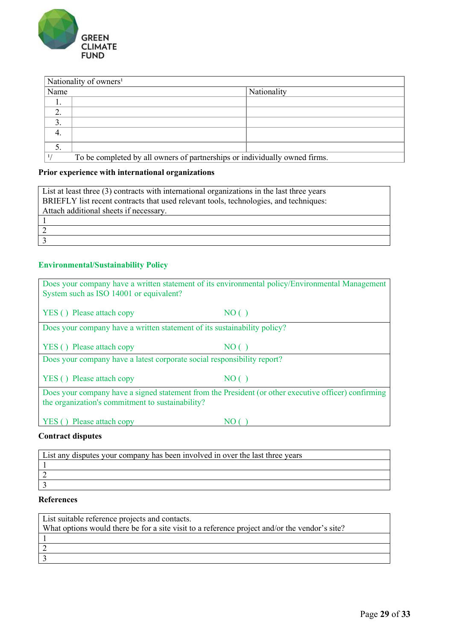

| Nationality of owners <sup>1</sup> |                                                                            |             |  |
|------------------------------------|----------------------------------------------------------------------------|-------------|--|
| Name                               |                                                                            | Nationality |  |
| . .                                |                                                                            |             |  |
| 2.                                 |                                                                            |             |  |
| 3.                                 |                                                                            |             |  |
|                                    |                                                                            |             |  |
| 5.                                 |                                                                            |             |  |
|                                    | To be completed by all owners of partnerships or individually owned firms. |             |  |

# **Prior experience with international organizations**

| List at least three (3) contracts with international organizations in the last three years |
|--------------------------------------------------------------------------------------------|
| BRIEFLY list recent contracts that used relevant tools, technologies, and techniques:      |
| Attach additional sheets if necessary.                                                     |
|                                                                                            |
|                                                                                            |
|                                                                                            |

# **Environmental/Sustainability Policy**

| Does your company have a written statement of its environmental policy/Environmental Management                                                          |       |  |
|----------------------------------------------------------------------------------------------------------------------------------------------------------|-------|--|
| System such as ISO 14001 or equivalent?                                                                                                                  |       |  |
|                                                                                                                                                          |       |  |
| YES () Please attach copy                                                                                                                                | NO( ) |  |
| Does your company have a written statement of its sustainability policy?                                                                                 |       |  |
| YES () Please attach copy                                                                                                                                | NO (  |  |
| Does your company have a latest corporate social responsibility report?                                                                                  |       |  |
|                                                                                                                                                          |       |  |
| YES () Please attach copy                                                                                                                                | NO()  |  |
| Does your company have a signed statement from the President (or other executive officer) confirming<br>the organization's commitment to sustainability? |       |  |
|                                                                                                                                                          |       |  |
| YES () Please attach copy                                                                                                                                | NO    |  |
| Contract disnutes                                                                                                                                        |       |  |

#### **Contract disputes**

| List any disputes your company has been involved in over the last three years |
|-------------------------------------------------------------------------------|
|                                                                               |
|                                                                               |
|                                                                               |

## **References**

| List suitable reference projects and contacts.                                                |
|-----------------------------------------------------------------------------------------------|
| What options would there be for a site visit to a reference project and/or the vendor's site? |
|                                                                                               |
|                                                                                               |
|                                                                                               |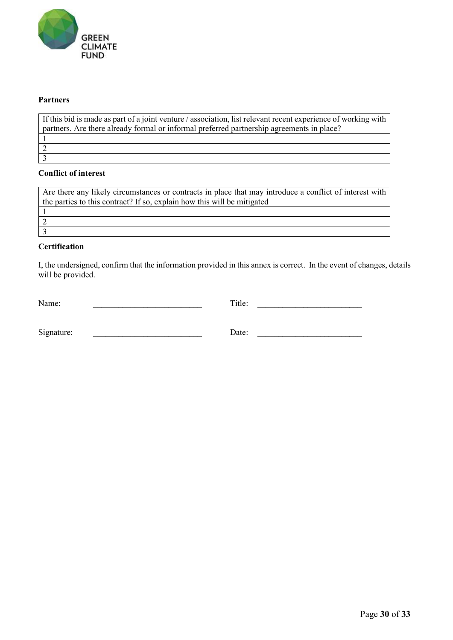

### **Partners**

If this bid is made as part of a joint venture / association, list relevant recent experience of working with partners. Are there already formal or informal preferred partnership agreements in place? 1 2 3

#### **Conflict of interest**

Are there any likely circumstances or contracts in place that may introduce a conflict of interest with the parties to this contract? If so, explain how this will be mitigated 1 2 3

# **Certification**

I, the undersigned, confirm that the information provided in this annex is correct. In the event of changes, details will be provided.

| Name:      | Title: |  |
|------------|--------|--|
|            |        |  |
| Signature: | Date:  |  |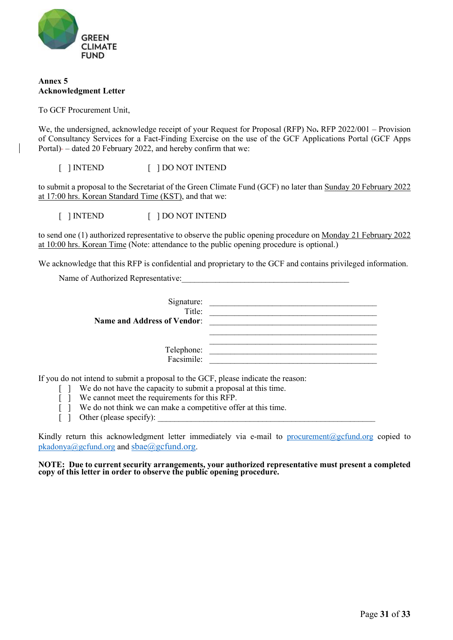

#### **Annex 5 Acknowledgment Letter**

To GCF Procurement Unit,

We, the undersigned, acknowledge receipt of your Request for Proposal (RFP) No**.** RFP 2022/001 – Provision of Consultancy Services for a Fact-Finding Exercise on the use of the GCF Applications Portal (GCF Apps Portal) – dated 20 February 2022, and hereby confirm that we:

[ ] INTEND [ ] DO NOT INTEND

to submit a proposal to the Secretariat of the Green Climate Fund (GCF) no later than Sunday 20 February 2022 at 17:00 hrs. Korean Standard Time (KST), and that we:

[ ] INTEND [ ] DO NOT INTEND

to send one (1) authorized representative to observe the public opening procedure on Monday 21 February 2022 at 10:00 hrs. Korean Time (Note: attendance to the public opening procedure is optional.)

We acknowledge that this RFP is confidential and proprietary to the GCF and contains privileged information.

Name of Authorized Representative:

| Signature:<br>Title:               |  |
|------------------------------------|--|
| <b>Name and Address of Vendor:</b> |  |
| Telephone:<br>Facsimile:           |  |

If you do not intend to submit a proposal to the GCF, please indicate the reason:

- [ ] We do not have the capacity to submit a proposal at this time.
- [ ] We cannot meet the requirements for this RFP.
- [ ] We do not think we can make a competitive offer at this time.
- $\lceil \rceil$  Other (please specify):

Kindly return this acknowledgment letter immediately via e-mail to [procurement@gcfund.org](mailto:procurement@gcfund.org) copied to [pkadonya@gcfund.org](mailto:pkadonya@gcfund.org) and sbae@gcfund.org.

**NOTE: Due to current security arrangements, your authorized representative must present a completed copy of this letter in order to observe the public opening procedure.**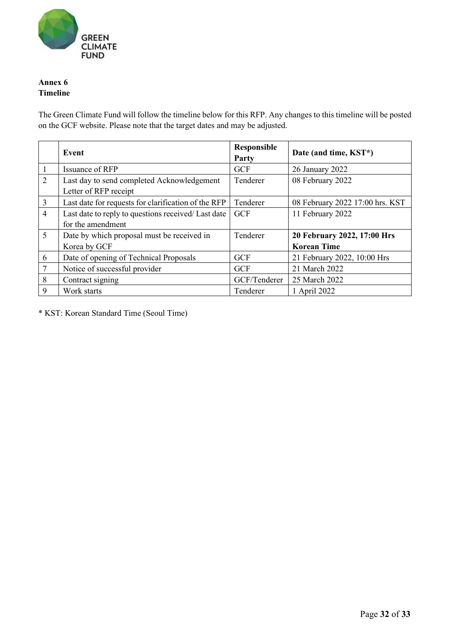

## **Annex 6 Timeline**

The Green Climate Fund will follow the timeline below for this RFP. Any changes to this timeline will be posted on the GCF website. Please note that the target dates and may be adjusted.

|                | Event                                               | <b>Responsible</b><br>Party | Date (and time, KST*)           |
|----------------|-----------------------------------------------------|-----------------------------|---------------------------------|
| 1              | Issuance of RFP                                     | <b>GCF</b>                  | 26 January 2022                 |
| 2              | Last day to send completed Acknowledgement          | Tenderer                    | 08 February 2022                |
|                | Letter of RFP receipt                               |                             |                                 |
| $\overline{3}$ | Last date for requests for clarification of the RFP | Tenderer                    | 08 February 2022 17:00 hrs. KST |
| $\overline{4}$ | Last date to reply to questions received/ Last date | <b>GCF</b>                  | 11 February 2022                |
|                | for the amendment                                   |                             |                                 |
| 5              | Date by which proposal must be received in          | Tenderer                    | 20 February 2022, 17:00 Hrs     |
|                | Korea by GCF                                        |                             | <b>Korean Time</b>              |
| 6              | Date of opening of Technical Proposals              | <b>GCF</b>                  | 21 February 2022, 10:00 Hrs     |
| 7              | Notice of successful provider                       | <b>GCF</b>                  | 21 March 2022                   |
| 8              | Contract signing                                    | GCF/Tenderer                | 25 March 2022                   |
| 9              | Work starts                                         | Tenderer                    | 1 April 2022                    |

\* KST: Korean Standard Time (Seoul Time)